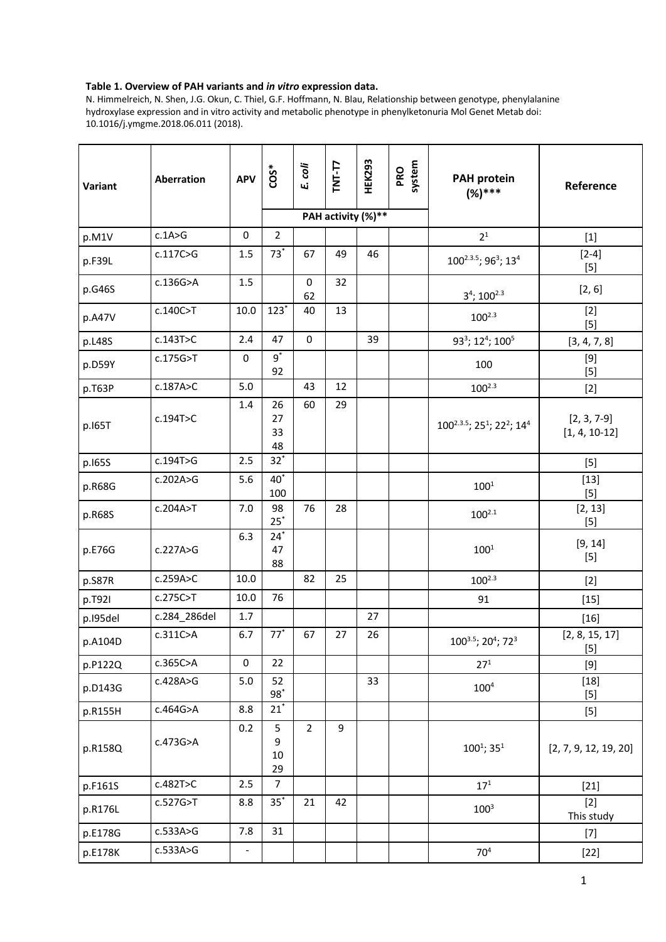## **Table 1. Overview of PAH variants and** *in vitro* **expression data.**

N. Himmelreich, N. Shen, J.G. Okun, C. Thiel, G.F. Hoffmann, N. Blau, Relationship between genotype, phenylalanine hydroxylase expression and in vitro activity and metabolic phenotype in phenylketonuria Mol Genet Metab doi: 10.1016/j.ymgme.2018.06.011 (2018).

| Variant  | Aberration   | <b>APV</b> | $\overline{\text{COS}}^*$ | E. coli        | $TNT-T7$<br>PAH activity (%)** | <b>HEK293</b> | system<br>PRO | <b>PAH protein</b><br>$(%)***$                                             | Reference                        |
|----------|--------------|------------|---------------------------|----------------|--------------------------------|---------------|---------------|----------------------------------------------------------------------------|----------------------------------|
| p.M1V    | c.1A>G       | $\pmb{0}$  | $\overline{2}$            |                |                                |               |               | 2 <sup>1</sup>                                                             | $[1]$                            |
|          | c.117C>G     | 1.5        | $73*$                     | 67             | 49                             | 46            |               |                                                                            | $[2-4]$                          |
| p.F39L   |              |            |                           |                |                                |               |               | 100 <sup>2.3.5</sup> ; 96 <sup>3</sup> ; 13 <sup>4</sup>                   | $[5]$                            |
| p.G46S   | c.136G>A     | 1.5        |                           | 0<br>62        | 32                             |               |               | $3^4$ ; 100 <sup>2.3</sup>                                                 | [2, 6]                           |
| p.A47V   | c.140C>T     | 10.0       | $123*$                    | 40             | 13                             |               |               | $100^{2.3}$                                                                | $[2]$<br>$[5]$                   |
| p.L48S   | c.143T>C     | 2.4        | 47                        | $\mathbf 0$    |                                | 39            |               | 93 <sup>3</sup> ; 12 <sup>4</sup> ; 100 <sup>5</sup>                       | [3, 4, 7, 8]                     |
| p.D59Y   | c.175G>T     | 0          | $9^*$<br>92               |                |                                |               |               | 100                                                                        | $[9]$<br>$[5]$                   |
| p.T63P   | c.187A>C     | 5.0        |                           | 43             | 12                             |               |               | $100^{2.3}$                                                                | $[2]$                            |
| p.165T   | c.194T>C     | 1.4        | 26<br>27<br>33<br>48      | 60             | 29                             |               |               | 100 <sup>2.3.5</sup> ; 25 <sup>1</sup> ; 22 <sup>2</sup> ; 14 <sup>4</sup> | $[2, 3, 7-9]$<br>$[1, 4, 10-12]$ |
| p.165S   | c.194T>G     | 2.5        | $32^*$                    |                |                                |               |               |                                                                            | $[5]$                            |
| p.R68G   | c.202A>G     | 5.6        | $40^*$<br>100             |                |                                |               |               | $100^{1}$                                                                  | $[13]$<br>$[5]$                  |
| p.R68S   | c.204A>T     | 7.0        | 98<br>$25^*$              | 76             | 28                             |               |               | $100^{2.1}$                                                                | [2, 13]<br>$[5]$                 |
| p.E76G   | c.227A>G     | 6.3        | $24^*$<br>47<br>88        |                |                                |               |               | $100^{1}$                                                                  | [9, 14]<br>$[5]$                 |
| p.S87R   | c.259A>C     | 10.0       |                           | 82             | 25                             |               |               | $100^{2.3}$                                                                | $[2]$                            |
| p.T921   | c.275C>T     | 10.0       | 76                        |                |                                |               |               | 91                                                                         | $[15]$                           |
| p.195del | c.284_286del | 1.7        |                           |                |                                | 27            |               |                                                                            | $[16]$                           |
| p.A104D  | c.311C>A     | 6.7        | $77*$                     | 67             | 27                             | 26            |               | 1003.5; 20 <sup>4</sup> ; 72 <sup>3</sup>                                  | [2, 8, 15, 17]<br>$[5]$          |
| p.P122Q  | c.365C>A     | 0          | 22                        |                |                                |               |               | 27 <sup>1</sup>                                                            | $[9]$                            |
| p.D143G  | c.428A>G     | 5.0        | 52<br>$98^*$              |                |                                | 33            |               | $100^4$                                                                    | $[18]$<br>$[5]$                  |
| p.R155H  | c.464G>A     | 8.8        | $21^*$                    |                |                                |               |               |                                                                            | $[5]$                            |
| p.R158Q  | c.473G>A     | 0.2        | 5<br>9<br>$10\,$<br>29    | $\overline{2}$ | 9                              |               |               | $100^1$ ; 35 <sup>1</sup>                                                  | [2, 7, 9, 12, 19, 20]            |
| p.F161S  | c.482T>C     | 2.5        | $\overline{7}$            |                |                                |               |               | $17^{1}$                                                                   | $[21]$                           |
| p.R176L  | c.527G>T     | 8.8        | $35^*$                    | 21             | 42                             |               |               | $100^{3}$                                                                  | $[2]$<br>This study              |
| p.E178G  | c.533A>G     | 7.8        | 31                        |                |                                |               |               |                                                                            | $[7]$                            |
| p.E178K  | c.533A>G     |            |                           |                |                                |               |               | 70 <sup>4</sup>                                                            | $[22]$                           |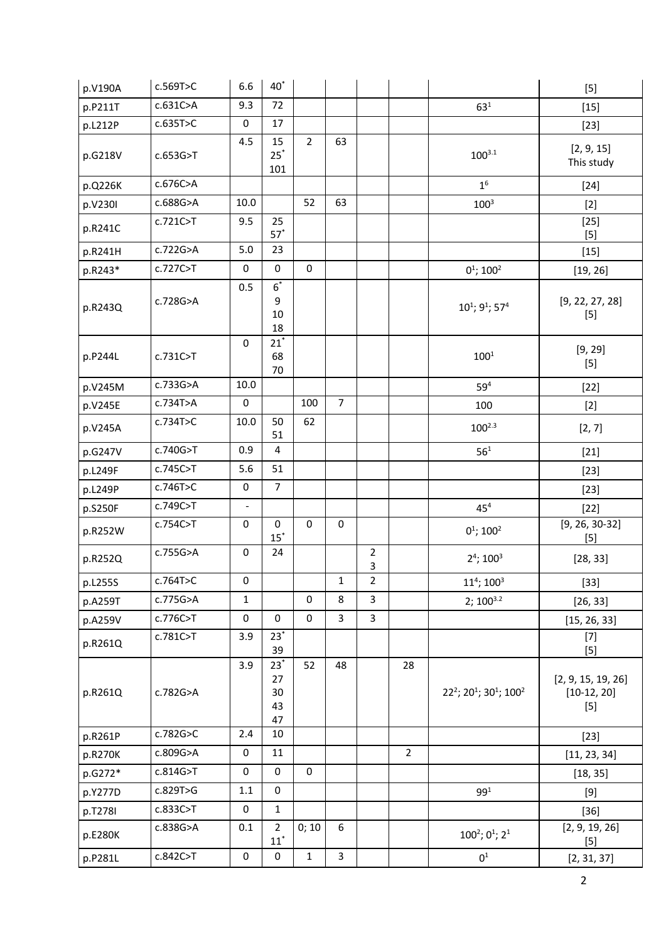| p.V190A | c.569T>C | 6.6                 | $40^*$                         |                |                |                         |                |                                                                        | $[5]$                                        |
|---------|----------|---------------------|--------------------------------|----------------|----------------|-------------------------|----------------|------------------------------------------------------------------------|----------------------------------------------|
| p.P211T | c.631C>A | 9.3                 | 72                             |                |                |                         |                | $63^{1}$                                                               | $[15]$                                       |
| p.L212P | c.635T>C | 0                   | 17                             |                |                |                         |                |                                                                        | $[23]$                                       |
| p.G218V | c.653G>T | 4.5                 | 15<br>$25^*$<br>101            | $\overline{2}$ | 63             |                         |                | $100^{3.1}$                                                            | [2, 9, 15]<br>This study                     |
| p.Q226K | c.676C>A |                     |                                |                |                |                         |                | 1 <sup>6</sup>                                                         | $[24]$                                       |
| p.V230I | c.688G>A | 10.0                |                                | 52             | 63             |                         |                | $100^{3}$                                                              | $[2]$                                        |
| p.R241C | c.721C>T | 9.5                 | 25<br>$57^*$                   |                |                |                         |                |                                                                        | $[25]$<br>$[5]$                              |
| p.R241H | c.722G>A | 5.0                 | 23                             |                |                |                         |                |                                                                        | $[15]$                                       |
| p.R243* | c.727C>T | 0                   | $\pmb{0}$                      | 0              |                |                         |                | $0^1$ ; 100 <sup>2</sup>                                               | [19, 26]                                     |
| p.R243Q | c.728G>A | 0.5                 | $6^*$<br>9<br>$10\,$<br>18     |                |                |                         |                | $10^1$ ; 9 <sup>1</sup> ; 57 <sup>4</sup>                              | [9, 22, 27, 28]<br>$[5]$                     |
| p.P244L | c.731C>T | $\mathsf{O}\xspace$ | $21^*$<br>68<br>70             |                |                |                         |                | $100^{1}$                                                              | [9, 29]<br>$[5]$                             |
| p.V245M | c.733G>A | 10.0                |                                |                |                |                         |                | 59 <sup>4</sup>                                                        | $[22]$                                       |
| p.V245E | c.734T>A | 0                   |                                | 100            | $\overline{7}$ |                         |                | 100                                                                    | $[2]$                                        |
| p.V245A | c.734T>C | 10.0                | 50<br>51                       | 62             |                |                         |                | $100^{2.3}$                                                            | [2, 7]                                       |
| p.G247V | c.740G>T | 0.9                 | 4                              |                |                |                         |                | $56^{1}$                                                               | $[21]$                                       |
| p.L249F | c.745C>T | 5.6                 | 51                             |                |                |                         |                |                                                                        | $[23]$                                       |
| p.L249P | c.746T>C | $\mathbf 0$         | $\overline{7}$                 |                |                |                         |                |                                                                        | $[23]$                                       |
| p.S250F | c.749C>T | $\equiv$            |                                |                |                |                         |                | 45 <sup>4</sup>                                                        | $[22]$                                       |
| p.R252W | c.754C>T | 0                   | 0<br>$15^*$                    | $\pmb{0}$      | $\pmb{0}$      |                         |                | $0^1$ ; 100 <sup>2</sup>                                               | $[9, 26, 30-32]$<br>$[5]$                    |
| p.R252Q | c.755G>A | 0                   | 24                             |                |                | $\overline{2}$<br>3     |                | $2^4$ ; $100^3$                                                        | [28, 33]                                     |
| p.L255S | c.764T>C | 0                   |                                |                | $\mathbf 1$    | $\overline{\mathbf{c}}$ |                | $11^4$ ; $100^3$                                                       | $[33]$                                       |
| p.A259T | c.775G>A | $\mathbf{1}$        |                                | $\mathbf 0$    | 8              | 3                       |                | $2; 100^{3.2}$                                                         | [26, 33]                                     |
| p.A259V | c.776C>T | 0                   | 0                              | $\pmb{0}$      | $\overline{3}$ | 3                       |                |                                                                        | [15, 26, 33]                                 |
| p.R261Q | c.781C>T | 3.9                 | $23^*$<br>39                   |                |                |                         |                |                                                                        | $[7]$<br>$[5]$                               |
| p.R261Q | c.782G>A | 3.9                 | $23^*$<br>27<br>30<br>43<br>47 | 52             | 48             |                         | 28             | 22 <sup>2</sup> ; 20 <sup>1</sup> ; 30 <sup>1</sup> ; 100 <sup>2</sup> | [2, 9, 15, 19, 26]<br>$[10-12, 20]$<br>$[5]$ |
| p.R261P | c.782G>C | 2.4                 | 10                             |                |                |                         |                |                                                                        | $[23]$                                       |
| p.R270K | c.809G>A | 0                   | 11                             |                |                |                         | $\overline{2}$ |                                                                        | [11, 23, 34]                                 |
| p.G272* | c.814G>T | 0                   | 0                              | $\mathbf 0$    |                |                         |                |                                                                        | [18, 35]                                     |
| p.Y277D | c.829T>G | $1.1\,$             | 0                              |                |                |                         |                | 99 <sup>1</sup>                                                        | $[9]$                                        |
| p.T278I | c.833C>T | 0                   | $\mathbf{1}$                   |                |                |                         |                |                                                                        | $[36]$                                       |
| p.E280K | c.838G>A | 0.1                 | $\overline{2}$<br>$11^*$       | 0;10           | 6              |                         |                | $100^2$ ; 0 <sup>1</sup> ; 2 <sup>1</sup>                              | [2, 9, 19, 26]<br>$[5]$                      |
| p.P281L | c.842C>T | $\pmb{0}$           | $\pmb{0}$                      | $\mathbf 1$    | $\overline{3}$ |                         |                | $0^1$                                                                  | [2, 31, 37]                                  |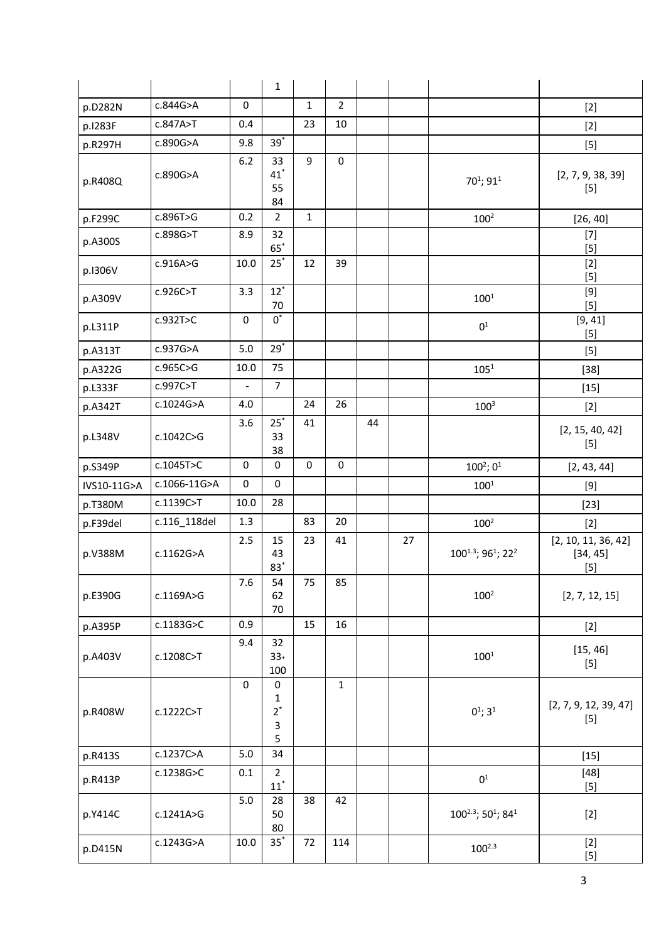|             |              |                | $\mathbf{1}$                        |              |                |    |    |                                                 |                                                                                                                                                                                                                                                                                                                                                                                                                                                                                                                                                                                                                                                                                   |
|-------------|--------------|----------------|-------------------------------------|--------------|----------------|----|----|-------------------------------------------------|-----------------------------------------------------------------------------------------------------------------------------------------------------------------------------------------------------------------------------------------------------------------------------------------------------------------------------------------------------------------------------------------------------------------------------------------------------------------------------------------------------------------------------------------------------------------------------------------------------------------------------------------------------------------------------------|
| p.D282N     | c.844G>A     | 0              |                                     | $\mathbf{1}$ | $\overline{2}$ |    |    |                                                 | $[2]$                                                                                                                                                                                                                                                                                                                                                                                                                                                                                                                                                                                                                                                                             |
| p.1283F     | c.847A>T     | 0.4            |                                     | 23           | 10             |    |    |                                                 | $[2]$                                                                                                                                                                                                                                                                                                                                                                                                                                                                                                                                                                                                                                                                             |
| p.R297H     | c.890G>A     | 9.8            | $39*$                               |              |                |    |    |                                                 | $[5]$                                                                                                                                                                                                                                                                                                                                                                                                                                                                                                                                                                                                                                                                             |
| p.R408Q     | c.890G>A     | $6.2$          | 33<br>$41$ <sup>*</sup><br>55<br>84 | 9            | 0              |    |    | 70 <sup>1</sup> ; 91 <sup>1</sup>               | [2, 7, 9, 38, 39]<br>$[5]$                                                                                                                                                                                                                                                                                                                                                                                                                                                                                                                                                                                                                                                        |
| p.F299C     | c.896T>G     | 0.2            | $\overline{2}$                      | $\mathbf{1}$ |                |    |    | 100 <sup>2</sup>                                | [26, 40]                                                                                                                                                                                                                                                                                                                                                                                                                                                                                                                                                                                                                                                                          |
| p.A300S     | c.898G>T     | 8.9            | 32<br>$65^*$                        |              |                |    |    |                                                 | $[7]$<br>$[5]$                                                                                                                                                                                                                                                                                                                                                                                                                                                                                                                                                                                                                                                                    |
| p.1306V     | c.916A>G     | 10.0           | $25^*$                              | 12           | 39             |    |    |                                                 | $[2]$<br>$[5]$                                                                                                                                                                                                                                                                                                                                                                                                                                                                                                                                                                                                                                                                    |
| p.A309V     | c.926C>T     | 3.3            | $12^*$<br>70                        |              |                |    |    | $100^{1}$                                       | $[9] % \begin{center} \includegraphics[width=\linewidth]{imagesSupplemental/Imetad-Architecture.png} \end{center} % \caption { % \textit{DefNet} of the \textit{DefNet} dataset. % Note that the \textit{DefNet} and \textit{DefNet} dataset. % Note that the \textit{DefNet} and \textit{DefNet} dataset. % Note that the \textit{DefNet} and \textit{DefNet} dataset. % Note that the \textit{DefNet} and \textit{DefNet} dataset. % Note that the \textit{DefNet} and \textit{DefNet} dataset. % Note that the \textit{DefNet} and \textit{DefNet} dataset. % Note that the \textit{DefNet} and \textit{DefNet} dataset. % Note that the \textit{DefNet} and \textit$<br>$[5]$ |
| p.L311P     | c.932T>C     | 0              | $0^*$                               |              |                |    |    | 0 <sup>1</sup>                                  | [9, 41]<br>$[5]$                                                                                                                                                                                                                                                                                                                                                                                                                                                                                                                                                                                                                                                                  |
| p.A313T     | c.937G>A     | 5.0            | $29*$                               |              |                |    |    |                                                 | $[5]$                                                                                                                                                                                                                                                                                                                                                                                                                                                                                                                                                                                                                                                                             |
| p.A322G     | c.965C>G     | 10.0           | 75                                  |              |                |    |    | $105^{1}$                                       | $[38]$                                                                                                                                                                                                                                                                                                                                                                                                                                                                                                                                                                                                                                                                            |
| p.L333F     | c.997C>T     | $\blacksquare$ | $\overline{7}$                      |              |                |    |    |                                                 | $[15]$                                                                                                                                                                                                                                                                                                                                                                                                                                                                                                                                                                                                                                                                            |
| p.A342T     | c.1024G>A    | 4.0            |                                     | 24           | 26             |    |    | 100 <sup>3</sup>                                | $[2]$                                                                                                                                                                                                                                                                                                                                                                                                                                                                                                                                                                                                                                                                             |
| p.L348V     | c.1042C>G    | 3.6            | $25^*$<br>33<br>38                  | 41           |                | 44 |    |                                                 | [2, 15, 40, 42]<br>$[5]$                                                                                                                                                                                                                                                                                                                                                                                                                                                                                                                                                                                                                                                          |
| p.S349P     | c.1045T>C    | 0              | $\mathsf 0$                         | $\pmb{0}$    | $\pmb{0}$      |    |    | $100^2; 0^1$                                    | [2, 43, 44]                                                                                                                                                                                                                                                                                                                                                                                                                                                                                                                                                                                                                                                                       |
| IVS10-11G>A | c.1066-11G>A | 0              | 0                                   |              |                |    |    | $100^{1}$                                       | $[9]$                                                                                                                                                                                                                                                                                                                                                                                                                                                                                                                                                                                                                                                                             |
| p.T380M     | c.1139C>T    | 10.0           | 28                                  |              |                |    |    |                                                 | $[23]$                                                                                                                                                                                                                                                                                                                                                                                                                                                                                                                                                                                                                                                                            |
| p.F39del    | c.116 118del | 1.3            |                                     | 83           | 20             |    |    | 100 <sup>2</sup>                                | $[2]$                                                                                                                                                                                                                                                                                                                                                                                                                                                                                                                                                                                                                                                                             |
| p.V388M     | c.1162G>A    | 2.5            | 15<br>43<br>$83^*$                  | 23           | 41             |    | 27 | 1001.3; 961; 222                                | [2, 10, 11, 36, 42]<br>[34, 45]<br>$[5]$                                                                                                                                                                                                                                                                                                                                                                                                                                                                                                                                                                                                                                          |
| p.E390G     | c.1169A>G    | 7.6            | 54<br>62<br>70                      | 75           | 85             |    |    | $100^{2}$                                       | [2, 7, 12, 15]                                                                                                                                                                                                                                                                                                                                                                                                                                                                                                                                                                                                                                                                    |
| p.A395P     | c.1183G>C    | 0.9            |                                     | 15           | 16             |    |    |                                                 | $[2]$                                                                                                                                                                                                                                                                                                                                                                                                                                                                                                                                                                                                                                                                             |
| p.A403V     | c.1208C>T    | 9.4            | 32<br>$33*$<br>100                  |              |                |    |    | $100^{1}$                                       | [15, 46]<br>$[5]$                                                                                                                                                                                                                                                                                                                                                                                                                                                                                                                                                                                                                                                                 |
| p.R408W     | c.1222C>T    | 0              | $\pmb{0}$<br>1<br>$2^*$<br>3<br>5   |              | $\mathbf{1}$   |    |    | $0^1$ ; 3 <sup>1</sup>                          | [2, 7, 9, 12, 39, 47]<br>$[5]$                                                                                                                                                                                                                                                                                                                                                                                                                                                                                                                                                                                                                                                    |
| p.R413S     | c.1237C>A    | 5.0            | 34                                  |              |                |    |    |                                                 | $[15]$                                                                                                                                                                                                                                                                                                                                                                                                                                                                                                                                                                                                                                                                            |
| p.R413P     | c.1238G>C    | 0.1            | $\overline{2}$<br>$11^*$            |              |                |    |    | 0 <sup>1</sup>                                  | $[48]$<br>$[5]$                                                                                                                                                                                                                                                                                                                                                                                                                                                                                                                                                                                                                                                                   |
| p.Y414C     | c.1241A>G    | 5.0            | 28<br>50<br>80                      | 38           | 42             |    |    | $100^{2.3}$ ; 50 <sup>1</sup> ; 84 <sup>1</sup> | $[2]$                                                                                                                                                                                                                                                                                                                                                                                                                                                                                                                                                                                                                                                                             |
| p.D415N     | c.1243G>A    | 10.0           | $35^*$                              | 72           | 114            |    |    | $100^{2.3}$                                     | $[2]$<br>$[5]$                                                                                                                                                                                                                                                                                                                                                                                                                                                                                                                                                                                                                                                                    |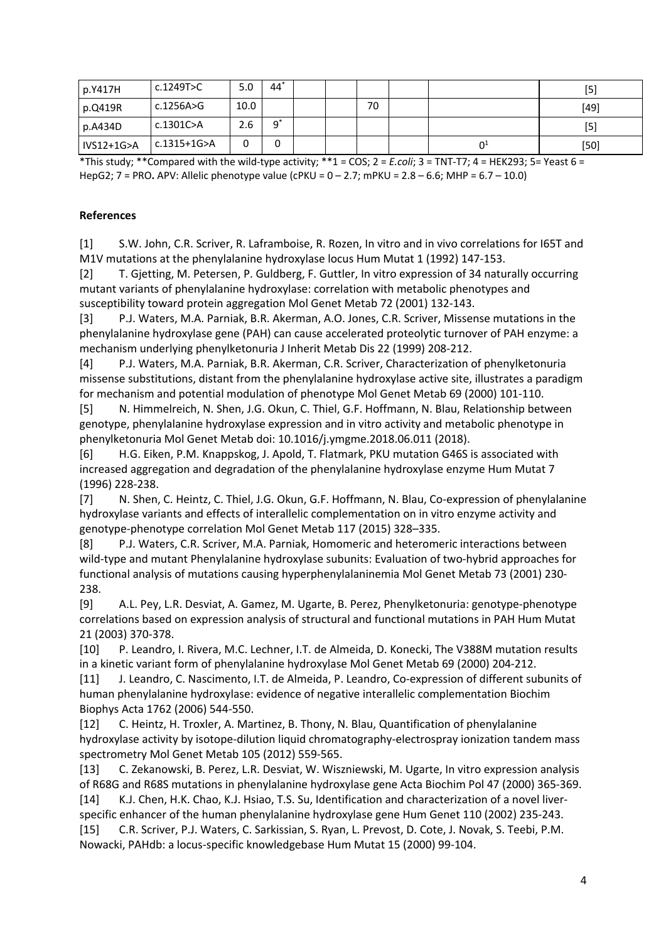| p.Y417H    | c.1249T>C   | 5.0  | 44 |  |    |                | [5]    |
|------------|-------------|------|----|--|----|----------------|--------|
| p.Q419R    | c.1256A>G   | 10.0 |    |  | 70 |                | $[49]$ |
| p.A434D    | c.1301C>A   | 2.6  | a* |  |    |                | [5]    |
| IVS12+1G>A | c.1315+1G>A | 0    | 0  |  |    | 0 <sup>1</sup> | $[50]$ |

\*This study; \*\*Compared with the wild-type activity; \*\*1 = COS; 2 = *E.coli*; 3 = TNT-T7; 4 = HEK293; 5= Yeast 6 = HepG2; 7 = PRO**.** APV: Allelic phenotype value (cPKU = 0 – 2.7; mPKU = 2.8 – 6.6; MHP = 6.7 – 10.0)

## **References**

[1] S.W. John, C.R. Scriver, R. Laframboise, R. Rozen, In vitro and in vivo correlations for I65T and M1V mutations at the phenylalanine hydroxylase locus Hum Mutat 1 (1992) 147-153.

[2] T. Gjetting, M. Petersen, P. Guldberg, F. Guttler, In vitro expression of 34 naturally occurring mutant variants of phenylalanine hydroxylase: correlation with metabolic phenotypes and susceptibility toward protein aggregation Mol Genet Metab 72 (2001) 132-143.

[3] P.J. Waters, M.A. Parniak, B.R. Akerman, A.O. Jones, C.R. Scriver, Missense mutations in the phenylalanine hydroxylase gene (PAH) can cause accelerated proteolytic turnover of PAH enzyme: a mechanism underlying phenylketonuria J Inherit Metab Dis 22 (1999) 208-212.

[4] P.J. Waters, M.A. Parniak, B.R. Akerman, C.R. Scriver, Characterization of phenylketonuria missense substitutions, distant from the phenylalanine hydroxylase active site, illustrates a paradigm for mechanism and potential modulation of phenotype Mol Genet Metab 69 (2000) 101-110.

[5] N. Himmelreich, N. Shen, J.G. Okun, C. Thiel, G.F. Hoffmann, N. Blau, Relationship between genotype, phenylalanine hydroxylase expression and in vitro activity and metabolic phenotype in phenylketonuria Mol Genet Metab doi: 10.1016/j.ymgme.2018.06.011 (2018).

[6] H.G. Eiken, P.M. Knappskog, J. Apold, T. Flatmark, PKU mutation G46S is associated with increased aggregation and degradation of the phenylalanine hydroxylase enzyme Hum Mutat 7 (1996) 228-238.

[7] N. Shen, C. Heintz, C. Thiel, J.G. Okun, G.F. Hoffmann, N. Blau, Co-expression of phenylalanine hydroxylase variants and effects of interallelic complementation on in vitro enzyme activity and genotype-phenotype correlation Mol Genet Metab 117 (2015) 328–335.

[8] P.J. Waters, C.R. Scriver, M.A. Parniak, Homomeric and heteromeric interactions between wild-type and mutant Phenylalanine hydroxylase subunits: Evaluation of two-hybrid approaches for functional analysis of mutations causing hyperphenylalaninemia Mol Genet Metab 73 (2001) 230- 238.

[9] A.L. Pey, L.R. Desviat, A. Gamez, M. Ugarte, B. Perez, Phenylketonuria: genotype-phenotype correlations based on expression analysis of structural and functional mutations in PAH Hum Mutat 21 (2003) 370-378.

[10] P. Leandro, I. Rivera, M.C. Lechner, I.T. de Almeida, D. Konecki, The V388M mutation results in a kinetic variant form of phenylalanine hydroxylase Mol Genet Metab 69 (2000) 204-212.

[11] J. Leandro, C. Nascimento, I.T. de Almeida, P. Leandro, Co-expression of different subunits of human phenylalanine hydroxylase: evidence of negative interallelic complementation Biochim Biophys Acta 1762 (2006) 544-550.

[12] C. Heintz, H. Troxler, A. Martinez, B. Thony, N. Blau, Quantification of phenylalanine hydroxylase activity by isotope-dilution liquid chromatography-electrospray ionization tandem mass spectrometry Mol Genet Metab 105 (2012) 559-565.

[13] C. Zekanowski, B. Perez, L.R. Desviat, W. Wiszniewski, M. Ugarte, In vitro expression analysis of R68G and R68S mutations in phenylalanine hydroxylase gene Acta Biochim Pol 47 (2000) 365-369. [14] K.J. Chen, H.K. Chao, K.J. Hsiao, T.S. Su, Identification and characterization of a novel liverspecific enhancer of the human phenylalanine hydroxylase gene Hum Genet 110 (2002) 235-243.

[15] C.R. Scriver, P.J. Waters, C. Sarkissian, S. Ryan, L. Prevost, D. Cote, J. Novak, S. Teebi, P.M. Nowacki, PAHdb: a locus-specific knowledgebase Hum Mutat 15 (2000) 99-104.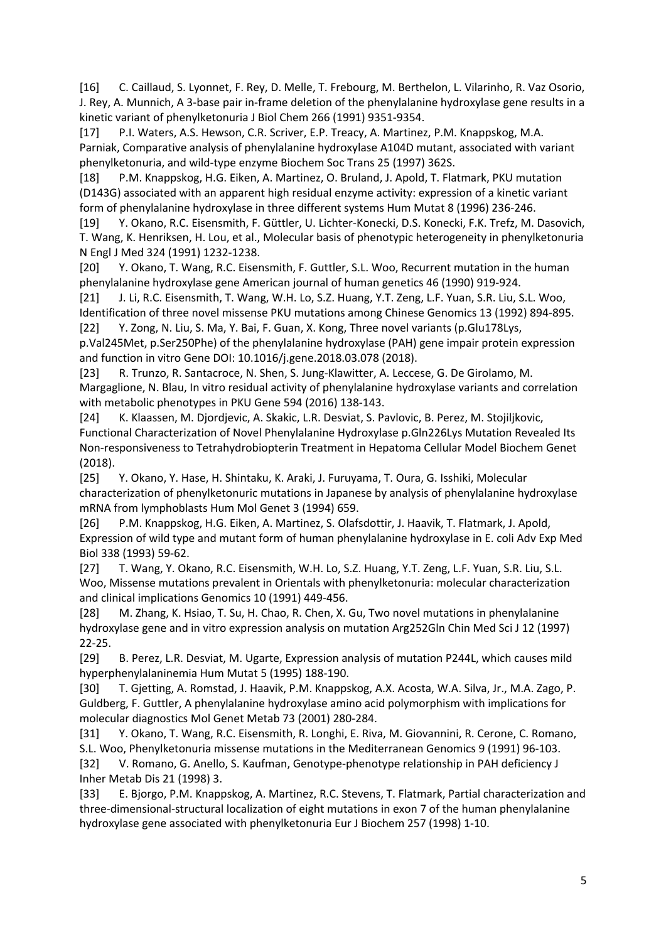[16] C. Caillaud, S. Lyonnet, F. Rey, D. Melle, T. Frebourg, M. Berthelon, L. Vilarinho, R. Vaz Osorio, J. Rey, A. Munnich, A 3-base pair in-frame deletion of the phenylalanine hydroxylase gene results in a kinetic variant of phenylketonuria J Biol Chem 266 (1991) 9351-9354.

[17] P.I. Waters, A.S. Hewson, C.R. Scriver, E.P. Treacy, A. Martinez, P.M. Knappskog, M.A. Parniak, Comparative analysis of phenylalanine hydroxylase A104D mutant, associated with variant phenylketonuria, and wild-type enzyme Biochem Soc Trans 25 (1997) 362S.

[18] P.M. Knappskog, H.G. Eiken, A. Martinez, O. Bruland, J. Apold, T. Flatmark, PKU mutation (D143G) associated with an apparent high residual enzyme activity: expression of a kinetic variant form of phenylalanine hydroxylase in three different systems Hum Mutat 8 (1996) 236-246.

[19] Y. Okano, R.C. Eisensmith, F. Güttler, U. Lichter-Konecki, D.S. Konecki, F.K. Trefz, M. Dasovich, T. Wang, K. Henriksen, H. Lou, et al., Molecular basis of phenotypic heterogeneity in phenylketonuria N Engl J Med 324 (1991) 1232-1238.

[20] Y. Okano, T. Wang, R.C. Eisensmith, F. Guttler, S.L. Woo, Recurrent mutation in the human phenylalanine hydroxylase gene American journal of human genetics 46 (1990) 919-924.

[21] J. Li, R.C. Eisensmith, T. Wang, W.H. Lo, S.Z. Huang, Y.T. Zeng, L.F. Yuan, S.R. Liu, S.L. Woo, Identification of three novel missense PKU mutations among Chinese Genomics 13 (1992) 894-895. [22] Y. Zong, N. Liu, S. Ma, Y. Bai, F. Guan, X. Kong, Three novel variants (p.Glu178Lys,

p.Val245Met, p.Ser250Phe) of the phenylalanine hydroxylase (PAH) gene impair protein expression and function in vitro Gene DOI: 10.1016/j.gene.2018.03.078 (2018).

[23] R. Trunzo, R. Santacroce, N. Shen, S. Jung-Klawitter, A. Leccese, G. De Girolamo, M. Margaglione, N. Blau, In vitro residual activity of phenylalanine hydroxylase variants and correlation with metabolic phenotypes in PKU Gene 594 (2016) 138-143.

[24] K. Klaassen, M. Djordjevic, A. Skakic, L.R. Desviat, S. Pavlovic, B. Perez, M. Stojiljkovic, Functional Characterization of Novel Phenylalanine Hydroxylase p.Gln226Lys Mutation Revealed Its Non-responsiveness to Tetrahydrobiopterin Treatment in Hepatoma Cellular Model Biochem Genet (2018).

[25] Y. Okano, Y. Hase, H. Shintaku, K. Araki, J. Furuyama, T. Oura, G. Isshiki, Molecular characterization of phenylketonuric mutations in Japanese by analysis of phenylalanine hydroxylase mRNA from lymphoblasts Hum Mol Genet 3 (1994) 659.

[26] P.M. Knappskog, H.G. Eiken, A. Martinez, S. Olafsdottir, J. Haavik, T. Flatmark, J. Apold, Expression of wild type and mutant form of human phenylalanine hydroxylase in E. coli Adv Exp Med Biol 338 (1993) 59-62.

[27] T. Wang, Y. Okano, R.C. Eisensmith, W.H. Lo, S.Z. Huang, Y.T. Zeng, L.F. Yuan, S.R. Liu, S.L. Woo, Missense mutations prevalent in Orientals with phenylketonuria: molecular characterization and clinical implications Genomics 10 (1991) 449-456.

[28] M. Zhang, K. Hsiao, T. Su, H. Chao, R. Chen, X. Gu, Two novel mutations in phenylalanine hydroxylase gene and in vitro expression analysis on mutation Arg252Gln Chin Med Sci J 12 (1997) 22-25.

[29] B. Perez, L.R. Desviat, M. Ugarte, Expression analysis of mutation P244L, which causes mild hyperphenylalaninemia Hum Mutat 5 (1995) 188-190.

[30] T. Gjetting, A. Romstad, J. Haavik, P.M. Knappskog, A.X. Acosta, W.A. Silva, Jr., M.A. Zago, P. Guldberg, F. Guttler, A phenylalanine hydroxylase amino acid polymorphism with implications for molecular diagnostics Mol Genet Metab 73 (2001) 280-284.

[31] Y. Okano, T. Wang, R.C. Eisensmith, R. Longhi, E. Riva, M. Giovannini, R. Cerone, C. Romano, S.L. Woo, Phenylketonuria missense mutations in the Mediterranean Genomics 9 (1991) 96-103. [32] V. Romano, G. Anello, S. Kaufman, Genotype-phenotype relationship in PAH deficiency J Inher Metab Dis 21 (1998) 3.

[33] E. Bjorgo, P.M. Knappskog, A. Martinez, R.C. Stevens, T. Flatmark, Partial characterization and three-dimensional-structural localization of eight mutations in exon 7 of the human phenylalanine hydroxylase gene associated with phenylketonuria Eur J Biochem 257 (1998) 1-10.